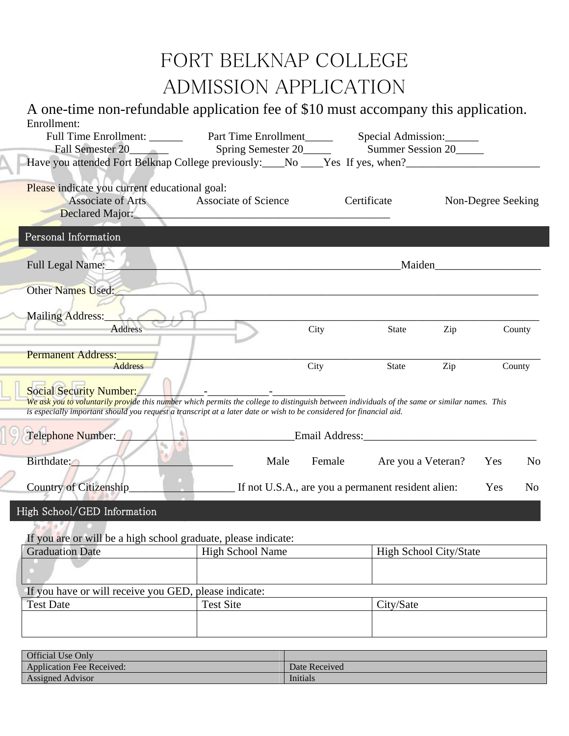## FORT BELKNAP COLLEGE ADMISSION APPLICATION

A one-time non-refundable application fee of \$10 must accompany this application. Enrollment: Full Time Enrollment: Part Time Enrollment Special Admission: Fall Semester 20\_\_\_\_\_\_ Spring Semester 20\_\_\_\_\_ Summer Session 20\_\_\_\_ Have you attended Fort Belknap College previously: No Wessell Yes, when? Please indicate you current educational goal: Associate of Arts Associate of Science Certificate Non-Degree Seeking Declared Major: f Full Legal Name:\_\_\_\_\_\_\_\_\_\_\_\_\_\_\_\_\_\_\_\_\_\_\_\_\_\_\_\_\_\_\_\_\_\_\_\_\_\_\_\_\_\_\_\_\_\_\_\_\_\_\_\_\_Maiden\_\_\_\_\_\_\_\_\_\_\_\_\_\_\_\_\_\_\_ Other Names Used: Mailing Address: Address City State Zip County Permanent Address: Address Address City State Zip County Social Security Number: *We ask you to voluntarily provide this number which permits the college to distinguish between individuals of the same or similar names. This is especially important should you request a transcript at a later date or wish to be considered for financial aid.*  Telephone Number:  $\blacksquare$ Birthdate: No Male Female Are you a Veteran? Yes No Country of Citizenship The U.S.A., are you a permanent resident alien: Yes No If you are or will be a high school graduate, please indicate: Graduation Date | High School Name | High School City/State High School/GED Information Personal Information

If you have or will receive you GED, please indicate: Test Date Test Site City/Sate

| <b>Official Use Only</b>         |               |
|----------------------------------|---------------|
| <b>Application Fee Received:</b> | Date Received |
| <b>Assigned Advisor</b>          | Initials      |